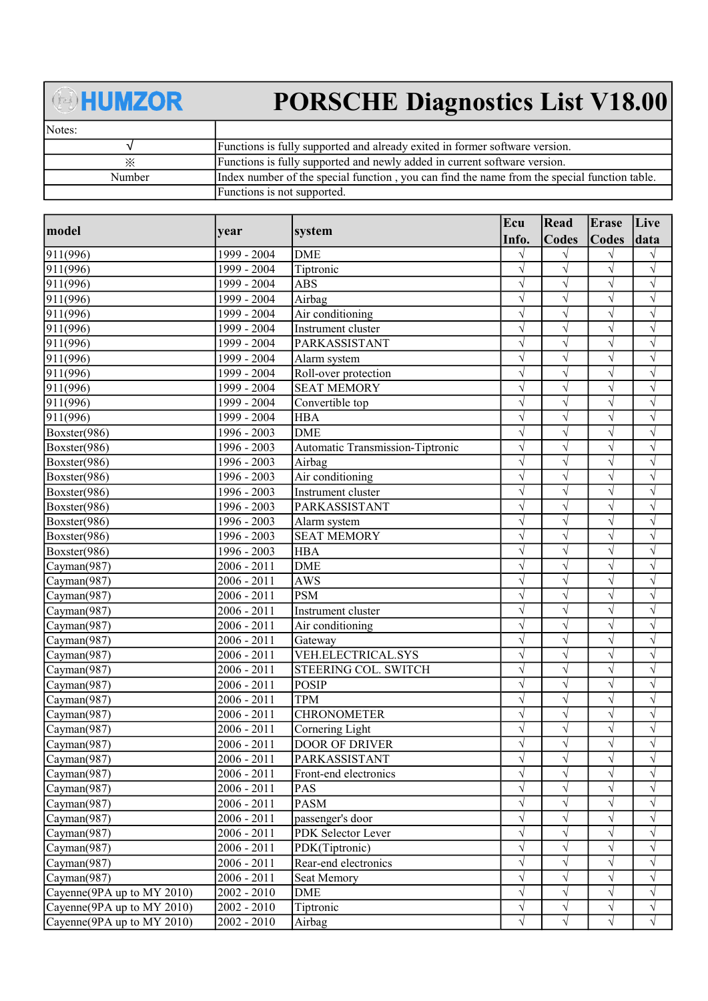## **@HUMZOR**

## PORSCHE Diagnostics List V18.00

| Notes: |                                                                                              |
|--------|----------------------------------------------------------------------------------------------|
|        | Functions is fully supported and already exited in former software version.                  |
| ፠      | Functions is fully supported and newly added in current software version.                    |
| Number | Index number of the special function, you can find the name from the special function table. |
|        | Functions is not supported.                                                                  |

|                            |               |                                  | Ecu        | Read         | Erase        | Live                  |
|----------------------------|---------------|----------------------------------|------------|--------------|--------------|-----------------------|
| model                      | year          | system                           | Info.      | <b>Codes</b> | <b>Codes</b> | data                  |
| 911(996)                   | 1999 - 2004   | <b>DME</b>                       |            |              |              |                       |
| 911(996)                   | 1999 - 2004   | Tiptronic                        | $\sqrt{ }$ | $\sqrt{}$    | $\sqrt{}$    | $\sqrt{}$             |
| 911(996)                   | 1999 - 2004   | <b>ABS</b>                       | $\sqrt{ }$ | $\sqrt{}$    | $\sqrt{}$    | $\sqrt{}$             |
| 911(996)                   | 1999 - 2004   | Airbag                           | $\sqrt{}$  | $\sqrt{}$    | $\sqrt{}$    | $\sqrt{}$             |
| 911(996)                   | 1999 - 2004   | Air conditioning                 | $\sqrt{ }$ | $\sqrt{}$    | $\sqrt{}$    | $\sqrt{}$             |
| 911(996)                   | 1999 - 2004   | Instrument cluster               | $\sqrt{}$  | $\sqrt{}$    | $\sqrt{}$    | $\sqrt{}$             |
| 911(996)                   | 1999 - 2004   | PARKASSISTANT                    | $\sqrt{}$  | $\sqrt{}$    | $\sqrt{}$    | $\sqrt{}$             |
| 911(996)                   | 1999 - 2004   | Alarm system                     | $\sqrt{}$  | $\sqrt{}$    | $\sqrt{}$    | $\sqrt{}$             |
| 911(996)                   | 1999 - 2004   | Roll-over protection             | $\sqrt{ }$ | $\sqrt{}$    | $\sqrt{}$    | $\sqrt{}$             |
| 911(996)                   | 1999 - 2004   | <b>SEAT MEMORY</b>               | $\sqrt{ }$ | $\sqrt{}$    | $\sqrt{}$    | $\sqrt{}$             |
| 911(996)                   | 1999 - 2004   | Convertible top                  | $\sqrt{}$  | $\sqrt{}$    | $\sqrt{}$    | $\sqrt{}$             |
| 911(996)                   | 1999 - 2004   | <b>HBA</b>                       | $\sqrt{ }$ | $\sqrt{}$    | $\sqrt{}$    | $\sqrt{}$             |
| Boxster(986)               | 1996 - 2003   | <b>DME</b>                       | $\sqrt{}$  | $\sqrt{}$    | $\sqrt{}$    | $\sqrt{}$             |
| Boxster(986)               | 1996 - 2003   | Automatic Transmission-Tiptronic | $\sqrt{ }$ | $\sqrt{}$    | $\sqrt{}$    | $\sqrt{}$             |
| Boxster(986)               | 1996 - 2003   | Airbag                           | $\sqrt{ }$ | $\sqrt{}$    | $\sqrt{}$    | $\sqrt{}$             |
| Boxster(986)               | 1996 - 2003   | Air conditioning                 | $\sqrt{ }$ | $\sqrt{}$    | $\sqrt{}$    | $\sqrt{}$             |
| Boxster(986)               | 1996 - 2003   | Instrument cluster               | $\sqrt{}$  | $\sqrt{}$    | $\sqrt{}$    | $\sqrt{}$             |
| Boxster(986)               | 1996 - 2003   | PARKASSISTANT                    | $\sqrt{ }$ | $\sqrt{}$    | $\sqrt{}$    | $\sqrt{}$             |
| Boxster(986)               | 1996 - 2003   | Alarm system                     | $\sqrt{}$  | $\sqrt{}$    | $\sqrt{}$    | $\overline{\sqrt{} }$ |
| Boxster(986)               | 1996 - 2003   | <b>SEAT MEMORY</b>               | $\sqrt{}$  | $\sqrt{}$    | $\sqrt{}$    | $\sqrt{}$             |
| Boxster(986)               | 1996 - 2003   | <b>HBA</b>                       | $\sqrt{}$  | $\sqrt{}$    | $\sqrt{}$    | $\sqrt{}$             |
| Cayman(987)                | $2006 - 2011$ | <b>DME</b>                       | $\sqrt{ }$ | $\sqrt{}$    | $\sqrt{}$    | $\sqrt{}$             |
| Cayman(987)                | $2006 - 2011$ | <b>AWS</b>                       | $\sqrt{ }$ | $\sqrt{}$    | $\sqrt{}$    | $\sqrt{}$             |
| Cayman(987)                | $2006 - 2011$ | <b>PSM</b>                       | $\sqrt{ }$ | $\sqrt{}$    | $\sqrt{}$    | $\sqrt{}$             |
| Cayman(987)                | $2006 - 2011$ | Instrument cluster               | $\sqrt{}$  | $\sqrt{}$    | $\sqrt{}$    | $\sqrt{}$             |
| Cayman(987)                | 2006 - 2011   | Air conditioning                 | $\sqrt{ }$ | $\sqrt{}$    | $\sqrt{}$    | $\sqrt{}$             |
| Cayman(987)                | $2006 - 2011$ | Gateway                          | $\sqrt{ }$ | $\sqrt{}$    | $\sqrt{}$    | $\sqrt{}$             |
| Cayman(987)                | 2006 - 2011   | VEH.ELECTRICAL.SYS               | $\sqrt{}$  | $\sqrt{}$    | $\sqrt{}$    | $\sqrt{}$             |
| Cayman(987)                | 2006 - 2011   | STEERING COL. SWITCH             | $\sqrt{}$  | $\sqrt{}$    | $\sqrt{}$    | $\sqrt{}$             |
| Cayman(987)                | 2006 - 2011   | <b>POSIP</b>                     | $\sqrt{}$  | $\sqrt{}$    | $\sqrt{}$    | $\sqrt{}$             |
| Cayman(987)                | $2006 - 2011$ | <b>TPM</b>                       | $\sqrt{}$  | $\sqrt{}$    | $\sqrt{}$    | $\sqrt{}$             |
| Cayman(987)                | $2006 - 2011$ | <b>CHRONOMETER</b>               | $\sqrt{}$  | $\sqrt{}$    | $\sqrt{}$    | $\overline{\sqrt{ }}$ |
| Cayman(987)                | $2006 - 2011$ | Cornering Light                  | $\sqrt{ }$ | $\sqrt{}$    | $\sqrt{}$    | $\sqrt{}$             |
| Cayman(987)                | $2006 - 2011$ | <b>DOOR OF DRIVER</b>            | $\sqrt{ }$ | $\sqrt{}$    | $\sqrt{}$    | $\sqrt{}$             |
| Cayman(987)                | $2006 - 2011$ | PARKASSISTANT                    | $\sqrt{}$  | $\sqrt{}$    | $\sqrt{}$    | $\sqrt{}$             |
| Cayman(987)                | 2006 - 2011   | Front-end electronics            | $\sqrt{ }$ | $\sqrt{}$    | $\sqrt{}$    | $\sqrt{}$             |
| Cayman(987)                | 2006 - 2011   | PAS                              | $\sqrt{}$  | $\sqrt{}$    | $\sqrt{}$    | $\sqrt{}$             |
| Cayman(987)                | 2006 - 2011   | <b>PASM</b>                      | $\sqrt{}$  | $\sqrt{}$    | $\sqrt{}$    | $\sqrt{}$             |
| Cayman(987)                | 2006 - 2011   | passenger's door                 | $\sqrt{ }$ | $\sqrt{}$    | $\sqrt{}$    | $\sqrt{}$             |
| Cayman(987)                | 2006 - 2011   | PDK Selector Lever               | $\sqrt{}$  | $\sqrt{}$    | $\sqrt{}$    | $\sqrt{}$             |
| Cayman(987)                | 2006 - 2011   | PDK(Tiptronic)                   | $\sqrt{ }$ | $\sqrt{}$    | $\sqrt{}$    | $\sqrt{}$             |
| Cayman(987)                | 2006 - 2011   | Rear-end electronics             | $\sqrt{ }$ | $\sqrt{}$    | $\sqrt{}$    | $\sqrt{}$             |
| Cayman(987)                | $2006 - 2011$ | Seat Memory                      | $\sqrt{ }$ | $\sqrt{}$    | $\sqrt{}$    | $\sqrt{}$             |
| Cayenne(9PA up to MY 2010) | $2002 - 2010$ | <b>DME</b>                       | $\sqrt{ }$ | $\sqrt{}$    | $\sqrt{}$    | $\sqrt{}$             |
| Cayenne(9PA up to MY 2010) | $2002 - 2010$ | Tiptronic                        | $\sqrt{}$  | $\sqrt{}$    | $\sqrt{}$    | $\sqrt{}$             |
| Cayenne(9PA up to MY 2010) | $2002 - 2010$ | Airbag                           | $\sqrt{ }$ | $\sqrt{}$    | √            | $\sqrt{}$             |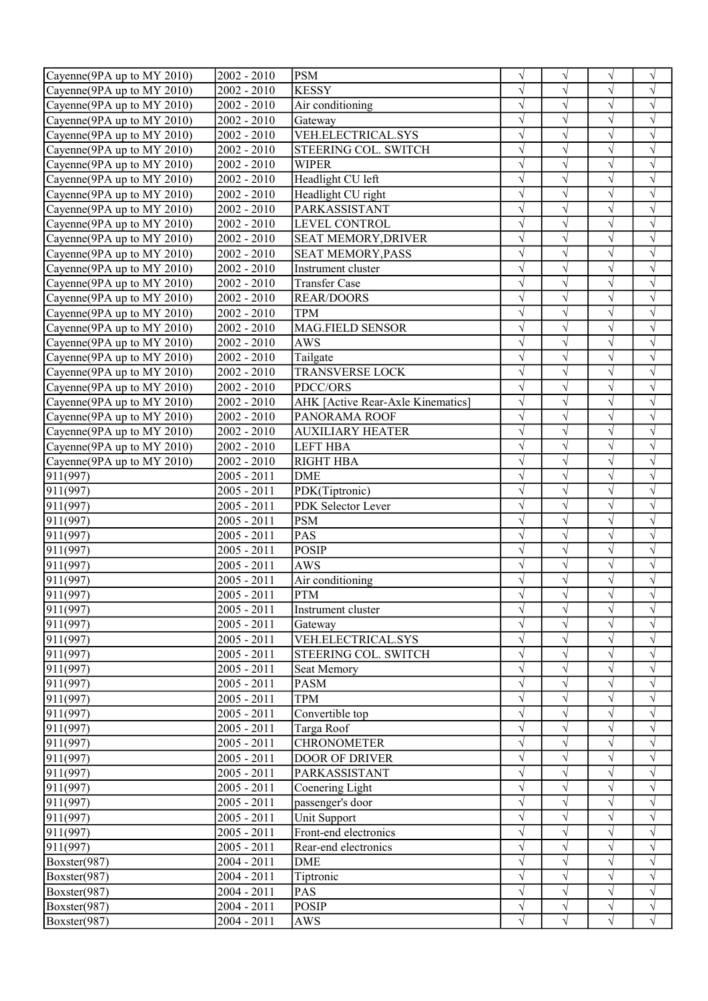| Cayenne(9PA up to MY 2010) | 2002 - 2010   | <b>PSM</b>                        | $\sqrt{}$  | $\sqrt{}$ | $\sqrt{}$              | $\sqrt{}$ |
|----------------------------|---------------|-----------------------------------|------------|-----------|------------------------|-----------|
| Cayenne(9PA up to MY 2010) | 2002 - 2010   | <b>KESSY</b>                      | $\sqrt{}$  | $\sqrt{}$ | $\sqrt{}$              | $\sqrt{}$ |
| Cayenne(9PA up to MY 2010) | 2002 - 2010   | Air conditioning                  | $\sqrt{ }$ | $\sqrt{}$ | $\sqrt{}$              | $\sqrt{}$ |
| Cayenne(9PA up to MY 2010) | 2002 - 2010   | Gateway                           | $\sqrt{}$  | $\sqrt{}$ | $\sqrt{}$              | $\sqrt{}$ |
| Cayenne(9PA up to MY 2010) | 2002 - 2010   | VEH.ELECTRICAL.SYS                | $\sqrt{ }$ | $\sqrt{}$ | $\sqrt{}$              | $\sqrt{}$ |
| Cayenne(9PA up to MY 2010) | $2002 - 2010$ | STEERING COL. SWITCH              | $\sqrt{}$  | $\sqrt{}$ | $\sqrt{}$              | $\sqrt{}$ |
| Cayenne(9PA up to MY 2010) | 2002 - 2010   | <b>WIPER</b>                      | $\sqrt{}$  | $\sqrt{}$ | $\sqrt{}$              | $\sqrt{}$ |
| Cayenne(9PA up to MY 2010) | 2002 - 2010   | Headlight CU left                 | $\sqrt{ }$ | $\sqrt{}$ | $\sqrt{}$              | $\sqrt{}$ |
| Cayenne(9PA up to MY 2010) | $2002 - 2010$ | Headlight CU right                | $\sqrt{ }$ | $\sqrt{}$ | $\sqrt{}$              | $\sqrt{}$ |
| Cayenne(9PA up to MY 2010) | $2002 - 2010$ | PARKASSISTANT                     | $\sqrt{}$  | $\sqrt{}$ | $\sqrt{}$              | $\sqrt{}$ |
| Cayenne(9PA up to MY 2010) | $2002 - 2010$ | <b>LEVEL CONTROL</b>              | $\sqrt{ }$ | $\sqrt{}$ | $\sqrt{}$              | $\sqrt{}$ |
| Cayenne(9PA up to MY 2010) | 2002 - 2010   | <b>SEAT MEMORY, DRIVER</b>        | $\sqrt{}$  | $\sqrt{}$ | $\sqrt{}$              | $\sqrt{}$ |
| Cayenne(9PA up to MY 2010) | 2002 - 2010   | <b>SEAT MEMORY, PASS</b>          | $\sqrt{}$  | $\sqrt{}$ | $\sqrt{}$              | $\sqrt{}$ |
| Cayenne(9PA up to MY 2010) | $2002 - 2010$ | Instrument cluster                | $\sqrt{}$  | $\sqrt{}$ | $\sqrt{}$              | $\sqrt{}$ |
| Cayenne(9PA up to MY 2010) | 2002 - 2010   | <b>Transfer Case</b>              | $\sqrt{ }$ | $\sqrt{}$ | $\sqrt{}$              | $\sqrt{}$ |
| Cayenne(9PA up to MY 2010) |               |                                   | $\sqrt{}$  | $\sqrt{}$ | $\sqrt{}$              | $\sqrt{}$ |
|                            | 2002 - 2010   | <b>REAR/DOORS</b><br><b>TPM</b>   |            |           |                        | $\sqrt{}$ |
| Cayenne(9PA up to MY 2010) | 2002 - 2010   |                                   | $\sqrt{}$  | $\sqrt{}$ | $\sqrt{}$              |           |
| Cayenne(9PA up to MY 2010) | 2002 - 2010   | MAG.FIELD SENSOR                  | $\sqrt{}$  | $\sqrt{}$ | $\sqrt{}$              | $\sqrt{}$ |
| Cayenne(9PA up to MY 2010) | 2002 - 2010   | <b>AWS</b>                        | $\sqrt{}$  | $\sqrt{}$ | $\sqrt{}$              | $\sqrt{}$ |
| Cayenne(9PA up to MY 2010) | 2002 - 2010   | Tailgate                          | $\sqrt{ }$ | $\sqrt{}$ | $\sqrt{}$              | $\sqrt{}$ |
| Cayenne(9PA up to MY 2010) | 2002 - 2010   | <b>TRANSVERSE LOCK</b>            | $\sqrt{ }$ | V         | $\sqrt{}$              | $\sqrt{}$ |
| Cayenne(9PA up to MY 2010) | 2002 - 2010   | PDCC/ORS                          | $\sqrt{ }$ | $\sqrt{}$ | $\sqrt{}$              | $\sqrt{}$ |
| Cayenne(9PA up to MY 2010) | $2002 - 2010$ | AHK [Active Rear-Axle Kinematics] | $\sqrt{ }$ | $\sqrt{}$ | $\sqrt{}$              | $\sqrt{}$ |
| Cayenne(9PA up to MY 2010) | 2002 - 2010   | PANORAMA ROOF                     | $\sqrt{ }$ | $\sqrt{}$ | $\sqrt{}$              | $\sqrt{}$ |
| Cayenne(9PA up to MY 2010) | 2002 - 2010   | <b>AUXILIARY HEATER</b>           | $\sqrt{ }$ | $\sqrt{}$ | $\sqrt{}$              | $\sqrt{}$ |
| Cayenne(9PA up to MY 2010) | $2002 - 2010$ | <b>LEFT HBA</b>                   | $\sqrt{}$  | $\sqrt{}$ | $\sqrt{}$              | $\sqrt{}$ |
| Cayenne(9PA up to MY 2010) | $2002 - 2010$ | <b>RIGHT HBA</b>                  | $\sqrt{}$  | $\sqrt{}$ | $\sqrt{}$              | $\sqrt{}$ |
| $\sqrt{911(997)}$          | $2005 - 2011$ | <b>DME</b>                        | $\sqrt{ }$ | $\sqrt{}$ | $\sqrt{}$              | $\sqrt{}$ |
| $\overline{911(997)}$      | $2005 - 2011$ | PDK(Tiptronic)                    | $\sqrt{}$  | $\sqrt{}$ | $\sqrt{}$              | $\sqrt{}$ |
| $\sqrt{911(997)}$          | $2005 - 2011$ | PDK Selector Lever                | $\sqrt{}$  | $\sqrt{}$ | $\sqrt{}$              | $\sqrt{}$ |
| $\sqrt{911(997)}$          | $2005 - 2011$ | <b>PSM</b>                        | $\sqrt{}$  | $\sqrt{}$ | $\sqrt{}$              | $\sqrt{}$ |
| 911(997)                   | $2005 - 2011$ | PAS                               | $\sqrt{}$  | $\sqrt{}$ | $\sqrt{}$              | $\sqrt{}$ |
| 911(997)                   | $2005 - 2011$ | <b>POSIP</b>                      | $\sqrt{}$  | $\sqrt{}$ | $\sqrt{}$              | $\sqrt{}$ |
| $\overline{9}11(997)$      | $2005 - 2011$ | <b>AWS</b>                        | $\sqrt{}$  | $\sqrt{}$ | $\sqrt{}$              | $\sqrt{}$ |
| 911(997)                   | $2005 - 2011$ | Air conditioning                  | $\sqrt{}$  | $\sqrt{}$ | $\sqrt{}$              | $\sqrt{}$ |
| 911(997)                   | 2005 - 2011   | <b>PTM</b>                        | $\sqrt{ }$ | $\sqrt{}$ | $\sqrt{}$              | $\sqrt{}$ |
| 911(997)                   | $2005 - 2011$ | Instrument cluster                | $\sqrt{}$  | $\sqrt{}$ | $\sqrt{}$              | $\sqrt{}$ |
| $\sqrt{911(997)}$          | $2005 - 2011$ | Gateway                           | $\sqrt{}$  | $\sqrt{}$ | V                      | $\sqrt{}$ |
| 911(997)                   | $2005 - 2011$ | VEH.ELECTRICAL.SYS                | $\sqrt{}$  | $\sqrt{}$ | $\sqrt{}$              | $\sqrt{}$ |
| $\sqrt{911(997)}$          | $2005 - 2011$ | STEERING COL. SWITCH              | $\sqrt{}$  | $\sqrt{}$ | $\sqrt{}$              | $\sqrt{}$ |
| $\sqrt{911(997)}$          | $2005 - 2011$ | Seat Memory                       | $\sqrt{}$  | $\sqrt{}$ | $\sqrt{}$              | $\sqrt{}$ |
| $\sqrt{911(997)}$          | $2005 - 2011$ | PASM                              | $\sqrt{}$  | $\sqrt{}$ | $\sqrt{}$              | $\sqrt{}$ |
| $\overline{911}(997)$      | $2005 - 2011$ | <b>TPM</b>                        | $\sqrt{}$  | $\sqrt{}$ | $\sqrt{}$              | $\sqrt{}$ |
| 911(997)                   | $2005 - 2011$ | Convertible top                   | $\sqrt{}$  | $\sqrt{}$ | $\sqrt{}$              | $\sqrt{}$ |
| 911(997)                   | $2005 - 2011$ | Targa Roof                        | $\sqrt{ }$ | $\sqrt{}$ | $\sqrt{}$              | $\sqrt{}$ |
| 911(997)                   | $2005 - 2011$ | <b>CHRONOMETER</b>                | $\sqrt{ }$ | $\sqrt{}$ | $\sqrt{}$              | $\sqrt{}$ |
| 911(997)                   | $2005 - 2011$ | <b>DOOR OF DRIVER</b>             | $\sqrt{}$  | $\sqrt{}$ | $\sqrt{}$              | $\sqrt{}$ |
| 911(997)                   | $2005 - 2011$ | PARKASSISTANT                     | $\sqrt{ }$ | $\sqrt{}$ | $\sqrt{}$              | $\sqrt{}$ |
| 911(997)                   | $2005 - 2011$ | Coenering Light                   | $\sqrt{ }$ | $\sqrt{}$ | $\sqrt{}$              | $\sqrt{}$ |
|                            |               |                                   | $\sqrt{}$  | $\sqrt{}$ |                        | $\sqrt{}$ |
| 911(997)<br>911(997)       | $2005 - 2011$ | passenger's door<br>Unit Support  | $\sqrt{ }$ | $\sqrt{}$ | $\sqrt{}$<br>$\sqrt{}$ | $\sqrt{}$ |
|                            | $2005 - 2011$ |                                   | $\sqrt{}$  |           |                        |           |
| 911(997)                   | $2005 - 2011$ | Front-end electronics             |            | $\sqrt{}$ | $\sqrt{}$              | $\sqrt{}$ |
| $\sqrt{911(997)}$          | $2005 - 2011$ | Rear-end electronics              | $\sqrt{}$  | $\sqrt{}$ | $\sqrt{}$              | $\sqrt{}$ |
| Boxster(987)               | $2004 - 2011$ | <b>DME</b>                        | $\sqrt{}$  | $\sqrt{}$ | $\sqrt{}$              | $\sqrt{}$ |
| Boxster(987)               | $2004 - 2011$ | Tiptronic                         | $\sqrt{}$  | $\sqrt{}$ | $\sqrt{}$              | $\sqrt{}$ |
| Boxster(987)               | $2004 - 2011$ | PAS                               | $\sqrt{ }$ | $\sqrt{}$ | $\sqrt{}$              | $\sqrt{}$ |
| Boxster(987)               | $2004 - 2011$ | <b>POSIP</b>                      | $\sqrt{ }$ | $\sqrt{}$ | $\sqrt{}$              | $\sqrt{}$ |
| Boxster(987)               | $2004 - 2011$ | AWS                               |            | V         | $\sqrt{}$              | $\sqrt{}$ |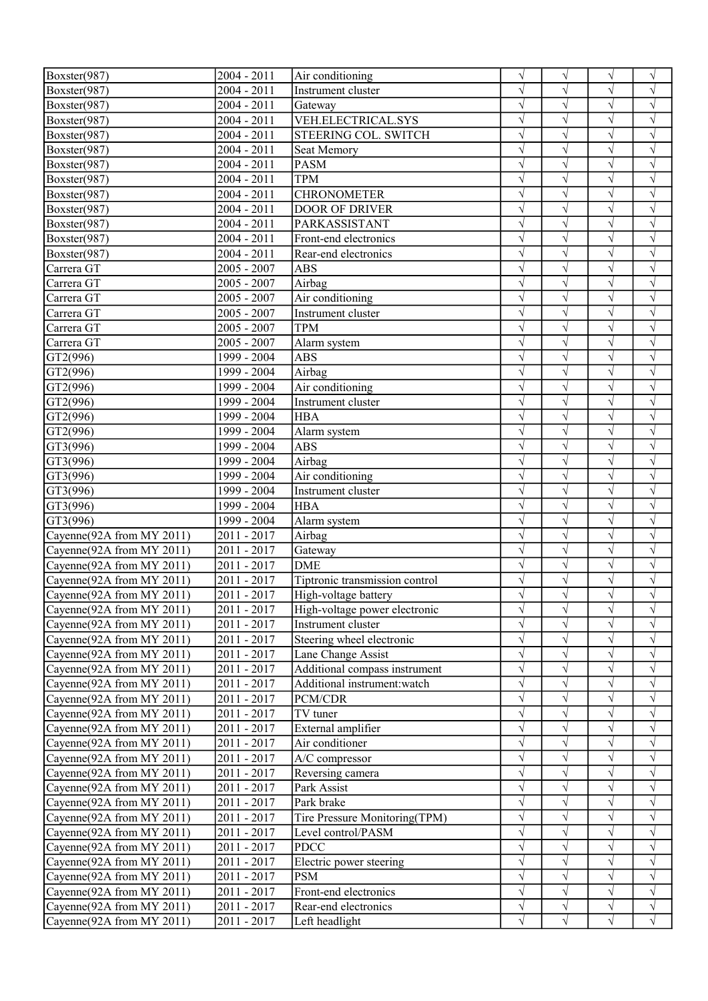| Boxster(987)              | $2004 - 2011$ | Air conditioning               | $\sqrt{ }$            | $\sqrt{}$  | $\sqrt{}$ | V                     |
|---------------------------|---------------|--------------------------------|-----------------------|------------|-----------|-----------------------|
| Boxster(987)              | 2004 - 2011   | Instrument cluster             | $\sqrt{ }$            | $\sqrt{}$  | $\sqrt{}$ | $\sqrt{}$             |
| Boxster(987)              | 2004 - 2011   | Gateway                        | $\sqrt{}$             | $\sqrt{}$  | $\sqrt{}$ | $\sqrt{}$             |
| Boxster(987)              | $2004 - 2011$ | VEH.ELECTRICAL.SYS             | $\overline{\sqrt{ }}$ | $\sqrt{}$  | $\sqrt{}$ | $\sqrt{}$             |
| Boxster(987)              | $2004 - 2011$ | STEERING COL. SWITCH           | $\sqrt{}$             | $\sqrt{}$  | $\sqrt{}$ | $\sqrt{}$             |
| Boxster(987)              | $2004 - 2011$ | Seat Memory                    |                       | $\sqrt{}$  | $\sqrt{}$ | $\sqrt{}$             |
| Boxster(987)              | 2004 - 2011   | <b>PASM</b>                    | $\sqrt{}$             | $\sqrt{ }$ | $\sqrt{}$ | $\sqrt{}$             |
| Boxster(987)              | 2004 - 2011   | <b>TPM</b>                     | $\sqrt{}$             | $\sqrt{}$  | $\sqrt{}$ | $\sqrt{}$             |
| Boxster(987)              | 2004 - 2011   | <b>CHRONOMETER</b>             | $\sqrt{ }$            | $\sqrt{}$  | $\sqrt{}$ | $\sqrt{ }$            |
| Boxster(987)              | 2004 - 2011   | <b>DOOR OF DRIVER</b>          | $\sqrt{}$             | $\sqrt{}$  | $\sqrt{}$ | $\sqrt{}$             |
| Boxster(987)              | 2004 - 2011   | PARKASSISTANT                  | $\sqrt{}$             | $\sqrt{}$  | $\sqrt{}$ | $\sqrt{}$             |
| Boxster(987)              | $2004 - 2011$ | Front-end electronics          |                       | $\sqrt{}$  | $\sqrt{}$ | $\sqrt{}$             |
| Boxster(987)              | 2004 - 2011   | Rear-end electronics           | $\sqrt{}$             | $\sqrt{}$  | $\sqrt{}$ | $\sqrt{}$             |
| Carrera GT                | $2005 - 2007$ | <b>ABS</b>                     | $\sqrt{}$             | $\sqrt{}$  | $\sqrt{}$ | $\sqrt{}$             |
| Carrera GT                | $2005 - 2007$ | Airbag                         | $\sqrt{}$             | $\sqrt{}$  | $\sqrt{}$ | $\sqrt{}$             |
| Carrera GT                | $2005 - 2007$ | Air conditioning               | $\sqrt{}$             | $\sqrt{}$  | $\sqrt{}$ | $\sqrt{}$             |
| Carrera GT                | $2005 - 2007$ | Instrument cluster             |                       | $\sqrt{}$  | $\sqrt{}$ | $\sqrt{}$             |
| Carrera GT                | $2005 - 2007$ | <b>TPM</b>                     | $\sqrt{}$             | $\sqrt{}$  | $\sqrt{}$ | $\sqrt{}$             |
| Carrera GT                | $2005 - 2007$ | Alarm system                   | $\sqrt{}$             | $\sqrt{}$  | $\sqrt{}$ | $\sqrt{}$             |
| GT2(996)                  | 1999 - 2004   | <b>ABS</b>                     | $\sqrt{}$             | $\sqrt{}$  | $\sqrt{}$ | $\sqrt{}$             |
| GT2(996)                  | 1999 - 2004   | Airbag                         | $\sqrt{}$             | $\sqrt{}$  | $\sqrt{}$ | $\sqrt{}$             |
| GT2(996)                  | 1999 - 2004   | Air conditioning               | $\sqrt{}$             | $\sqrt{}$  | $\sqrt{}$ | $\sqrt{}$             |
| GT2(996)                  | 1999 - 2004   | Instrument cluster             | $\sqrt{}$             | $\sqrt{}$  | $\sqrt{}$ | $\sqrt{}$             |
| GT2(996)                  | 1999 - 2004   | <b>HBA</b>                     | $\sqrt{}$             | $\sqrt{}$  | $\sqrt{}$ | $\sqrt{}$             |
| GT2(996)                  | 1999 - 2004   | Alarm system                   | $\sqrt{}$             | $\sqrt{}$  | $\sqrt{}$ | $\sqrt{}$             |
| GT3(996)                  | 1999 - 2004   | <b>ABS</b>                     | V                     | $\sqrt{}$  | $\sqrt{}$ | $\sqrt{}$             |
| GT3(996)                  | 1999 - 2004   | Airbag                         | $\sqrt{}$             | $\sqrt{}$  | $\sqrt{}$ | $\sqrt{}$             |
| GT3(996)                  | 1999 - 2004   | Air conditioning               | $\sqrt{}$             | $\sqrt{}$  | $\sqrt{}$ | $\sqrt{}$             |
| GT3(996)                  | 1999 - 2004   | Instrument cluster             |                       | $\sqrt{}$  | $\sqrt{}$ | $\sqrt{}$             |
| GT3(996)                  | 1999 - 2004   | <b>HBA</b>                     | $\sqrt{}$             | $\sqrt{}$  | $\sqrt{}$ | $\sqrt{}$             |
| GT3(996)                  | 1999 - 2004   | Alarm system                   | $\sqrt{}$             | $\sqrt{}$  | $\sqrt{}$ | $\sqrt{}$             |
| Cayenne(92A from MY 2011) | 2011 - 2017   | Airbag                         | $\sqrt{}$             | $\sqrt{}$  | $\sqrt{}$ | $\sqrt{}$             |
| Cayenne(92A from MY 2011) | 2011 - 2017   | Gateway                        | $\sqrt{}$             | $\sqrt{}$  | $\sqrt{}$ | $\sqrt{}$             |
| Cayenne(92A from MY 2011) | 2011 - 2017   | <b>DME</b>                     | $\sqrt{}$             | $\sqrt{}$  | $\sqrt{}$ | $\sqrt{}$             |
| Cayenne(92A from MY 2011) | 2011 - 2017   | Tiptronic transmission control | $\sqrt{}$             | $\sqrt{}$  | $\sqrt{}$ | $\sqrt{}$             |
| Cayenne(92A from MY 2011) | 2011 - 2017   | High-voltage battery           |                       | $\sqrt{}$  | $\sqrt{}$ |                       |
| Cayenne(92A from MY 2011) | 2011 - 2017   | High-voltage power electronic  | $\sqrt{}$             | $\sqrt{}$  | $\sqrt{}$ | $\sqrt{}$             |
| Cayenne(92A from MY 2011) | 2011 - 2017   | Instrument cluster             | $\sqrt{ }$            | $\sqrt{}$  | V         | $\sqrt{}$             |
| Cayenne(92A from MY 2011) | 2011 - 2017   | Steering wheel electronic      | $\sqrt{}$             | $\sqrt{}$  | $\sqrt{}$ | $\sqrt{}$             |
| Cayenne(92A from MY 2011) | 2011 - 2017   | Lane Change Assist             | $\sqrt{}$             | $\sqrt{}$  | $\sqrt{}$ | $\sqrt{}$             |
| Cayenne(92A from MY 2011) | 2011 - 2017   | Additional compass instrument  | $\sqrt{}$             | $\sqrt{}$  | $\sqrt{}$ | $\sqrt{}$             |
| Cayenne(92A from MY 2011) | 2011 - 2017   | Additional instrument:watch    | $\sqrt{}$             | $\sqrt{}$  | $\sqrt{}$ | $\sqrt{}$             |
| Cayenne(92A from MY 2011) | 2011 - 2017   | PCM/CDR                        |                       | $\sqrt{}$  | $\sqrt{}$ | $\sqrt{}$             |
| Cayenne(92A from MY 2011) | 2011 - 2017   | TV tuner                       | $\sqrt{}$             | $\sqrt{}$  | $\sqrt{}$ | $\sqrt{}$             |
| Cayenne(92A from MY 2011) | 2011 - 2017   | External amplifier             | $\sqrt{}$             | $\sqrt{}$  | $\sqrt{}$ | $\sqrt{}$             |
| Cayenne(92A from MY 2011) | 2011 - 2017   | Air conditioner                | $\sqrt{}$             | $\sqrt{}$  | $\sqrt{}$ | $\sqrt{}$             |
| Cayenne(92A from MY 2011) | 2011 - 2017   | A/C compressor                 | $\sqrt{}$             | $\sqrt{}$  | $\sqrt{}$ | $\sqrt{}$             |
| Cayenne(92A from MY 2011) | 2011 - 2017   | Reversing camera               | $\sqrt{}$             | $\sqrt{}$  | $\sqrt{}$ | $\sqrt{}$             |
| Cayenne(92A from MY 2011) | 2011 - 2017   | Park Assist                    | $\sqrt{}$             | $\sqrt{}$  | $\sqrt{}$ | $\sqrt{}$             |
| Cayenne(92A from MY 2011) | 2011 - 2017   | Park brake                     | $\sqrt{}$             | $\sqrt{}$  | $\sqrt{}$ | $\sqrt{}$             |
| Cayenne(92A from MY 2011) | 2011 - 2017   | Tire Pressure Monitoring(TPM)  | $\sqrt{}$             | $\sqrt{}$  | $\sqrt{}$ | $\sqrt{}$             |
| Cayenne(92A from MY 2011) | 2011 - 2017   | Level control/PASM             | $\sqrt{}$             | $\sqrt{}$  | $\sqrt{}$ | $\sqrt{}$             |
| Cayenne(92A from MY 2011) | 2011 - 2017   | <b>PDCC</b>                    | $\sqrt{}$             | $\sqrt{}$  | $\sqrt{}$ | $\sqrt{}$             |
| Cayenne(92A from MY 2011) | 2011 - 2017   | Electric power steering        | $\sqrt{}$             | $\sqrt{}$  | $\sqrt{}$ | $\sqrt{}$             |
| Cayenne(92A from MY 2011) | 2011 - 2017   | <b>PSM</b>                     | $\sqrt{}$             | $\sqrt{}$  | $\sqrt{}$ | $\overline{\sqrt{} }$ |
| Cayenne(92A from MY 2011) | 2011 - 2017   | Front-end electronics          | $\sqrt{}$             | $\sqrt{}$  | $\sqrt{}$ | $\sqrt{}$             |
| Cayenne(92A from MY 2011) | 2011 - 2017   | Rear-end electronics           | $\sqrt{}$             | $\sqrt{}$  | $\sqrt{}$ | $\sqrt{}$             |
| Cayenne(92A from MY 2011) | 2011 - 2017   | Left headlight                 |                       | $\sqrt{}$  | $\sqrt{}$ |                       |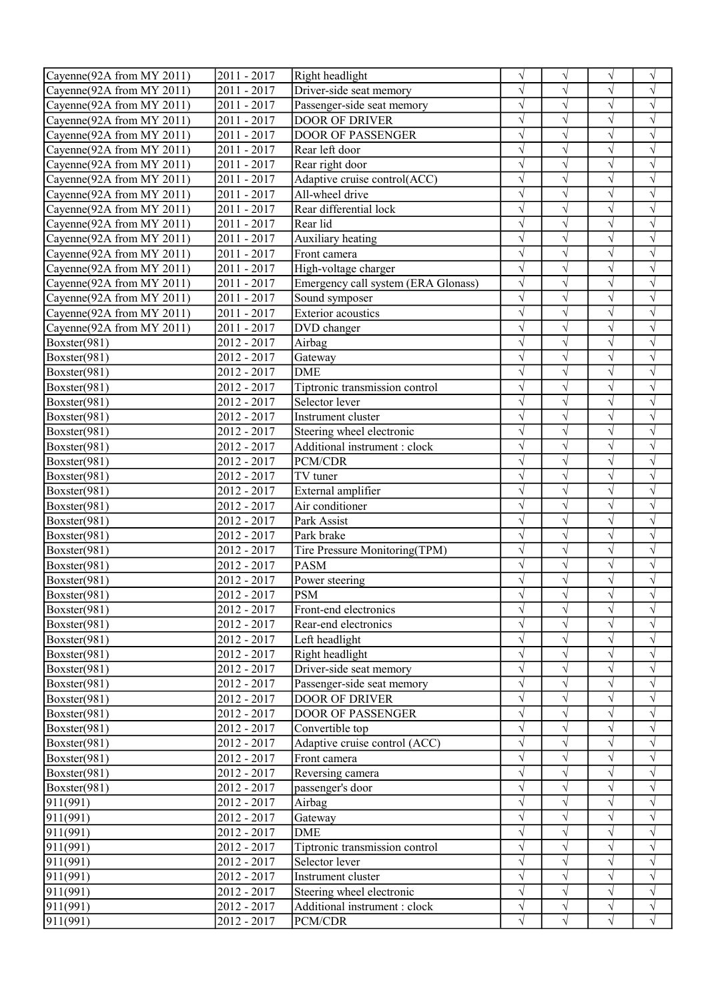| Cayenne(92A from MY 2011) | 2011 - 2017   | Right headlight                     | $\sqrt{ }$ | $\sqrt{}$             | V         | V                     |
|---------------------------|---------------|-------------------------------------|------------|-----------------------|-----------|-----------------------|
| Cayenne(92A from MY 2011) | 2011 - 2017   | Driver-side seat memory             | $\sqrt{ }$ | $\sqrt{}$             | V         | $\sqrt{}$             |
| Cayenne(92A from MY 2011) | 2011 - 2017   | Passenger-side seat memory          | $\sqrt{ }$ | $\sqrt{}$             | $\sqrt{}$ | $\sqrt{}$             |
| Cayenne(92A from MY 2011) | 2011 - 2017   | <b>DOOR OF DRIVER</b>               | $\sqrt{ }$ | $\sqrt{}$             | $\sqrt{}$ | $\sqrt{}$             |
| Cayenne(92A from MY 2011) | 2011 - 2017   | <b>DOOR OF PASSENGER</b>            | $\sqrt{ }$ | $\sqrt{}$             | $\sqrt{}$ | $\sqrt{}$             |
| Cayenne(92A from MY 2011) | 2011 - 2017   | Rear left door                      | $\sqrt{ }$ | $\sqrt{}$             | $\sqrt{}$ | $\sqrt{}$             |
| Cayenne(92A from MY 2011) | 2011 - 2017   | Rear right door                     | $\sqrt{ }$ | $\sqrt{}$             | $\sqrt{}$ | $\overline{\sqrt{} }$ |
| Cayenne(92A from MY 2011) | 2011 - 2017   | Adaptive cruise control(ACC)        | $\sqrt{ }$ | $\sqrt{}$             | $\sqrt{}$ | $\sqrt{}$             |
| Cayenne(92A from MY 2011) | 2011 - 2017   | All-wheel drive                     | $\sqrt{ }$ | $\sqrt{}$             | $\sqrt{}$ | $\sqrt{}$             |
| Cayenne(92A from MY 2011) | 2011 - 2017   | Rear differential lock              | $\sqrt{ }$ | $\sqrt{}$             | $\sqrt{}$ | $\sqrt{}$             |
| Cayenne(92A from MY 2011) | 2011 - 2017   | Rear lid                            | $\sqrt{ }$ | $\sqrt{}$             | $\sqrt{}$ | $\sqrt{}$             |
| Cayenne(92A from MY 2011) | 2011 - 2017   | Auxiliary heating                   | $\sqrt{ }$ | $\sqrt{}$             | $\sqrt{}$ | $\sqrt{}$             |
| Cayenne(92A from MY 2011) | 2011 - 2017   | Front camera                        | $\sqrt{ }$ | $\sqrt{}$             | $\sqrt{}$ | $\sqrt{}$             |
| Cayenne(92A from MY 2011) | 2011 - 2017   | High-voltage charger                | $\sqrt{ }$ | $\sqrt{}$             | $\sqrt{}$ | $\sqrt{}$             |
| Cayenne(92A from MY 2011) | 2011 - 2017   | Emergency call system (ERA Glonass) | $\sqrt{ }$ | $\sqrt{}$             | $\sqrt{}$ | $\sqrt{}$             |
| Cayenne(92A from MY 2011) | 2011 - 2017   | Sound symposer                      | $\sqrt{ }$ | $\sqrt{}$             | $\sqrt{}$ | $\sqrt{}$             |
| Cayenne(92A from MY 2011) | 2011 - 2017   | Exterior acoustics                  | $\sqrt{ }$ | $\sqrt{}$             | $\sqrt{}$ | $\sqrt{}$             |
| Cayenne(92A from MY 2011) | 2011 - 2017   | DVD changer                         | $\sqrt{ }$ | $\sqrt{}$             | $\sqrt{}$ | $\sqrt{}$             |
| Boxster(981)              | 2012 - 2017   | Airbag                              | $\sqrt{}$  | $\sqrt{}$             | $\sqrt{}$ | $\sqrt{}$             |
| Boxster(981)              | 2012 - 2017   | Gateway                             | $\sqrt{ }$ | $\sqrt{}$             | $\sqrt{}$ | $\sqrt{}$             |
| Boxster(981)              | 2012 - 2017   | <b>DME</b>                          | $\sqrt{}$  | $\sqrt{}$             | $\sqrt{}$ | $\sqrt{}$             |
| Boxster(981)              | 2012 - 2017   | Tiptronic transmission control      | $\sqrt{ }$ | $\sqrt{}$             | $\sqrt{}$ | $\sqrt{}$             |
| Boxster(981)              | 2012 - 2017   | Selector lever                      | $\sqrt{ }$ | $\sqrt{}$             | $\sqrt{}$ | $\sqrt{}$             |
| Boxster(981)              | 2012 - 2017   | Instrument cluster                  | $\sqrt{ }$ | $\sqrt{}$             | $\sqrt{}$ | $\sqrt{}$             |
| Boxster(981)              | 2012 - 2017   | Steering wheel electronic           | $\sqrt{ }$ | $\sqrt{}$             | $\sqrt{}$ | $\sqrt{}$             |
| Boxster(981)              | 2012 - 2017   | Additional instrument : clock       | $\sqrt{ }$ | $\sqrt{}$             | $\sqrt{}$ | $\sqrt{}$             |
| Boxster(981)              | 2012 - 2017   | PCM/CDR                             | $\sqrt{ }$ | $\sqrt{}$             | V         | $\sqrt{}$             |
| Boxster(981)              | 2012 - 2017   | TV tuner                            | $\sqrt{ }$ | $\sqrt{}$             | $\sqrt{}$ | $\sqrt{}$             |
| Boxster(981)              | 2012 - 2017   | External amplifier                  | $\sqrt{ }$ | $\sqrt{}$             | $\sqrt{}$ | $\sqrt{}$             |
| Boxster(981)              | 2012 - 2017   | Air conditioner                     | $\sqrt{ }$ | $\sqrt{}$             | $\sqrt{}$ | $\sqrt{}$             |
| Boxster(981)              | 2012 - 2017   | Park Assist                         | $\sqrt{}$  | $\overline{\sqrt{} }$ | $\sqrt{}$ | $\sqrt{}$             |
| Boxster(981)              | 2012 - 2017   | Park brake                          | $\sqrt{}$  | $\sqrt{}$             | $\sqrt{}$ | $\sqrt{}$             |
| Boxster(981)              | 2012 - 2017   | Tire Pressure Monitoring(TPM)       | $\sqrt{ }$ | $\sqrt{}$             | $\sqrt{}$ | $\sqrt{}$             |
| Boxster(981)              | $2012 - 2017$ | <b>PASM</b>                         | $\sqrt{ }$ | $\sqrt{}$             | $\sqrt{}$ | $\sqrt{}$             |
| Boxster(981)              | 2012 - 2017   | Power steering                      | $\sqrt{ }$ | $\sqrt{}$             | $\sqrt{}$ | $\sqrt{}$             |
| Boxster(981)              | 2012 - 2017   | <b>PSM</b>                          |            | $\sqrt{ }$            | $\sqrt{}$ |                       |
| Boxster(981)              | 2012 - 2017   | Front-end electronics               | $\sqrt{ }$ | $\sqrt{}$             | $\sqrt{}$ | $\sqrt{}$             |
| Boxster(981)              | 2012 - 2017   | Rear-end electronics                | $\sqrt{}$  | $\sqrt{}$             |           | $\sqrt{}$             |
| Boxster(981)              | 2012 - 2017   | Left headlight                      | $\sqrt{ }$ | $\sqrt{}$             | V         | $\sqrt{}$             |
| Boxster(981)              | 2012 - 2017   | Right headlight                     | $\sqrt{ }$ | $\sqrt{}$             | $\sqrt{}$ | $\sqrt{}$             |
| Boxster(981)              | 2012 - 2017   | Driver-side seat memory             | $\sqrt{ }$ | $\sqrt{}$             | $\sqrt{}$ | $\sqrt{}$             |
| Boxster(981)              | 2012 - 2017   | Passenger-side seat memory          | $\sqrt{ }$ | $\sqrt{}$             | $\sqrt{}$ | $\sqrt{}$             |
| Boxster(981)              | 2012 - 2017   | DOOR OF DRIVER                      | $\sqrt{}$  | $\sqrt{}$             | $\sqrt{}$ | $\sqrt{}$             |
| Boxster(981)              | 2012 - 2017   | <b>DOOR OF PASSENGER</b>            | $\sqrt{}$  | $\sqrt{}$             | $\sqrt{}$ | $\sqrt{}$             |
| Boxster(981)              | 2012 - 2017   | Convertible top                     | $\sqrt{}$  | $\sqrt{}$             | $\sqrt{}$ | $\sqrt{}$             |
| Boxster(981)              | 2012 - 2017   | Adaptive cruise control (ACC)       | $\sqrt{}$  | $\sqrt{}$             | $\sqrt{}$ | $\sqrt{}$             |
| Boxster(981)              | 2012 - 2017   | Front camera                        | $\sqrt{ }$ | $\sqrt{}$             | $\sqrt{}$ | $\sqrt{}$             |
| Boxster(981)              | 2012 - 2017   | Reversing camera                    | $\sqrt{ }$ | $\sqrt{}$             | $\sqrt{}$ | $\sqrt{}$             |
| Boxster(981)              | 2012 - 2017   | passenger's door                    | $\sqrt{ }$ | $\sqrt{}$             | V         | $\sqrt{}$             |
| 911(991)                  | 2012 - 2017   | Airbag                              | $\sqrt{ }$ | $\sqrt{}$             | $\sqrt{}$ | $\sqrt{}$             |
| 911(991)                  | 2012 - 2017   | Gateway                             | $\sqrt{ }$ | $\sqrt{}$             | V         | $\sqrt{}$             |
| 911(991)                  | 2012 - 2017   | <b>DME</b>                          | $\sqrt{ }$ | $\sqrt{}$             | V         | $\sqrt{}$             |
| 911(991)                  | 2012 - 2017   | Tiptronic transmission control      | $\sqrt{ }$ | $\sqrt{}$             | $\sqrt{}$ | $\sqrt{}$             |
| 911(991)                  | 2012 - 2017   | Selector lever                      | $\sqrt{ }$ | $\sqrt{}$             | $\sqrt{}$ | $\sqrt{}$             |
| $\sqrt{911(991)}$         | 2012 - 2017   | Instrument cluster                  | $\sqrt{}$  | $\sqrt{}$             | $\sqrt{}$ | $\sqrt{}$             |
| 911(991)                  | 2012 - 2017   | Steering wheel electronic           | $\sqrt{}$  | $\sqrt{}$             | $\sqrt{}$ | $\sqrt{}$             |
| 911(991)                  | 2012 - 2017   | Additional instrument : clock       | $\sqrt{}$  | $\sqrt{}$             | $\sqrt{}$ | $\sqrt{}$             |
| 911(991)                  | 2012 - 2017   | PCM/CDR                             |            | $\sqrt{}$             | V         | $\sqrt{}$             |
|                           |               |                                     |            |                       |           |                       |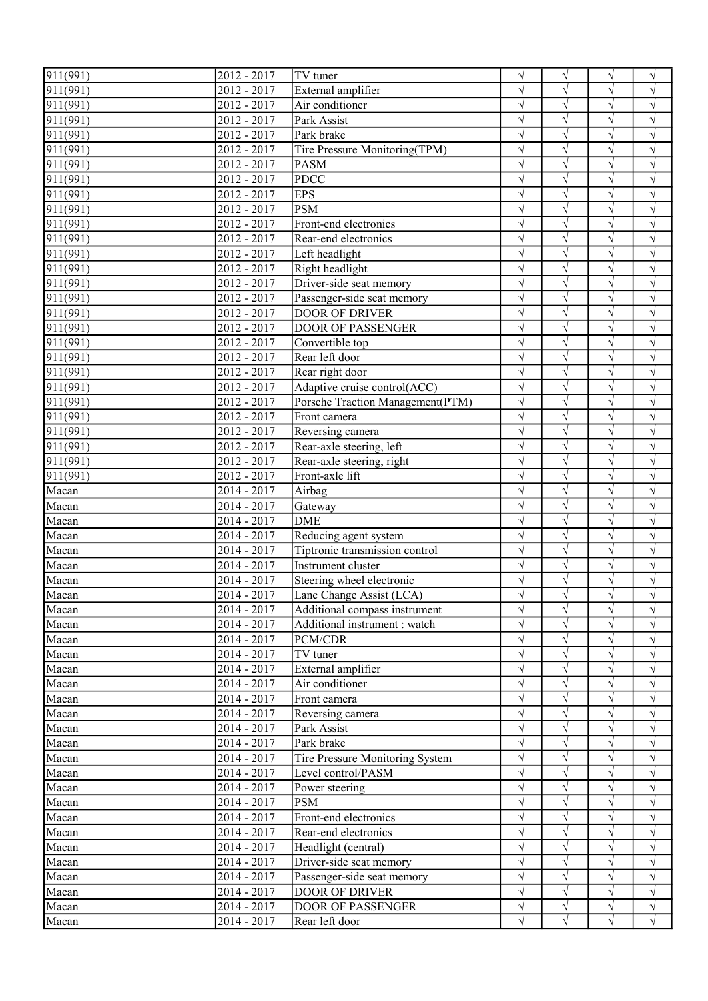| 911(991)              | 2012 - 2017   | TV tuner                         | $\sqrt{ }$            | $\sqrt{}$             | V                     | V          |
|-----------------------|---------------|----------------------------------|-----------------------|-----------------------|-----------------------|------------|
| 911(991)              | 2012 - 2017   | External amplifier               | $\sqrt{ }$            | $\sqrt{}$             | $\sqrt{}$             | $\sqrt{}$  |
| 911(991)              | 2012 - 2017   | Air conditioner                  | $\overline{\sqrt{2}}$ | $\sqrt{}$             | $\sqrt{}$             | $\sqrt{}$  |
| 911(991)              | 2012 - 2017   | Park Assist                      | $\sqrt{}$             | $\sqrt{}$             | $\sqrt{}$             | $\sqrt{}$  |
| 911(991)              | 2012 - 2017   | Park brake                       | $\sqrt{}$             | $\sqrt{}$             | $\sqrt{}$             | $\sqrt{}$  |
| 911(991)              | 2012 - 2017   | Tire Pressure Monitoring(TPM)    | $\sqrt{}$             | $\sqrt{}$             | $\sqrt{}$             | $\sqrt{}$  |
| 911(991)              | 2012 - 2017   | <b>PASM</b>                      | $\sqrt{}$             | $\sqrt{}$             | $\sqrt{}$             | $\sqrt{}$  |
| 911(991)              | 2012 - 2017   | <b>PDCC</b>                      | $\sqrt{}$             | $\sqrt{}$             | $\sqrt{}$             | $\sqrt{}$  |
| 911(991)              | 2012 - 2017   | <b>EPS</b>                       | $\sqrt{}$             | $\sqrt{}$             | $\sqrt{}$             | $\sqrt{ }$ |
| 911(991)              | 2012 - 2017   | <b>PSM</b>                       | $\sqrt{ }$            | $\sqrt{}$             | $\sqrt{}$             | $\sqrt{}$  |
| 911(991)              | 2012 - 2017   | Front-end electronics            | $\sqrt{ }$            | $\sqrt{}$             | $\sqrt{}$             | $\sqrt{}$  |
| 911(991)              | 2012 - 2017   | Rear-end electronics             | $\sqrt{}$             | $\sqrt{}$             | $\sqrt{}$             | $\sqrt{}$  |
| 911(991)              | 2012 - 2017   | Left headlight                   | $\sqrt{}$             | $\sqrt{}$             | $\sqrt{}$             | $\sqrt{}$  |
| 911(991)              | 2012 - 2017   | Right headlight                  | $\sqrt{}$             | $\sqrt{}$             | $\sqrt{}$             | $\sqrt{}$  |
| 911(991)              | 2012 - 2017   | Driver-side seat memory          | $\sqrt{ }$            | $\sqrt{}$             | $\sqrt{}$             | $\sqrt{}$  |
| 911(991)              | 2012 - 2017   | Passenger-side seat memory       | $\sqrt{}$             | $\sqrt{}$             | $\sqrt{}$             | $\sqrt{}$  |
| 911(991)              | 2012 - 2017   | <b>DOOR OF DRIVER</b>            | $\sqrt{ }$            | $\sqrt{}$             | $\sqrt{}$             | $\sqrt{}$  |
| 911(991)              | 2012 - 2017   | DOOR OF PASSENGER                | $\sqrt{ }$            | $\sqrt{}$             | $\overline{\sqrt{} }$ | $\sqrt{}$  |
| 911(991)              | 2012 - 2017   | Convertible top                  | $\sqrt{}$             | $\sqrt{}$             | $\sqrt{}$             | $\sqrt{}$  |
| 911(991)              | 2012 - 2017   | Rear left door                   | $\sqrt{}$             | $\sqrt{}$             | $\sqrt{}$             | $\sqrt{}$  |
| 911(991)              | 2012 - 2017   | Rear right door                  | $\overline{\sqrt{ }}$ | $\overline{\sqrt{} }$ | $\overline{\sqrt{} }$ | $\sqrt{}$  |
| 911(991)              | 2012 - 2017   | Adaptive cruise control(ACC)     | $\sqrt{ }$            | $\sqrt{}$             | $\sqrt{}$             | $\sqrt{}$  |
| 911(991)              | 2012 - 2017   | Porsche Traction Management(PTM) | $\sqrt{ }$            | $\sqrt{}$             | $\sqrt{}$             | $\sqrt{}$  |
| $\overline{911(991)}$ | 2012 - 2017   | Front camera                     | $\sqrt{ }$            | $\sqrt{}$             | $\overline{\sqrt{} }$ | $\sqrt{}$  |
| 911(991)              | 2012 - 2017   | Reversing camera                 | $\sqrt{}$             | $\sqrt{}$             | $\sqrt{}$             | $\sqrt{}$  |
| 911(991)              | 2012 - 2017   | Rear-axle steering, left         | $\sqrt{}$             | $\sqrt{}$             | $\sqrt{}$             | $\sqrt{}$  |
| 911(991)              | 2012 - 2017   | Rear-axle steering, right        | $\sqrt{ }$            | $\sqrt{}$             | $\sqrt{}$             | $\sqrt{}$  |
| 911(991)              | 2012 - 2017   | Front-axle lift                  | $\sqrt{}$             | $\sqrt{}$             | $\sqrt{}$             | $\sqrt{}$  |
| Macan                 | 2014 - 2017   | Airbag                           | $\sqrt{ }$            | $\sqrt{}$             | $\sqrt{}$             | $\sqrt{}$  |
| Macan                 | 2014 - 2017   | Gateway                          | $\sqrt{}$             | $\sqrt{}$             | $\sqrt{}$             | $\sqrt{}$  |
| Macan                 | 2014 - 2017   | DME                              | $\sqrt{}$             | $\sqrt{}$             | $\overline{\sqrt{} }$ | $\sqrt{}$  |
| Macan                 | 2014 - 2017   | Reducing agent system            | $\sqrt{}$             | $\sqrt{}$             | $\sqrt{}$             | $\sqrt{}$  |
| Macan                 | 2014 - 2017   | Tiptronic transmission control   | $\sqrt{ }$            | $\sqrt{}$             | $\sqrt{}$             | $\sqrt{}$  |
| Macan                 | 2014 - 2017   | Instrument cluster               | $\overline{\sqrt{2}}$ | $\sqrt{}$             | $\sqrt{}$             | $\sqrt{}$  |
| Macan                 | 2014 - 2017   | Steering wheel electronic        | $\sqrt{ }$            | $\sqrt{}$             | $\sqrt{}$             | $\sqrt{}$  |
| Macan                 | 2014 - 2017   | Lane Change Assist (LCA)         | $\sqrt{ }$            | $\sqrt{}$             | $\sqrt{}$             | $\sqrt{}$  |
| Macan                 | 2014 - 2017   | Additional compass instrument    | $\sqrt{}$             | $\sqrt{}$             | $\sqrt{}$             | $\sqrt{}$  |
| Macan                 | 2014 - 2017   | Additional instrument : watch    | $\sqrt{ }$            | $\sqrt{}$             | V                     | $\sqrt{}$  |
| Macan                 | 2014 - 2017   | PCM/CDR                          | $\sqrt{ }$            | $\sqrt{}$             | $\sqrt{}$             | $\sqrt{}$  |
| Macan                 | $2014 - 2017$ | TV tuner                         | $\sqrt{}$             | $\sqrt{}$             | $\sqrt{}$             | $\sqrt{}$  |
| Macan                 | 2014 - 2017   | External amplifier               | $\sqrt{}$             | $\sqrt{}$             | $\sqrt{}$             | $\sqrt{}$  |
| Macan                 | 2014 - 2017   | Air conditioner                  | V                     | $\sqrt{}$             | V                     | $\sqrt{}$  |
| Macan                 | 2014 - 2017   | Front camera                     |                       | $\sqrt{}$             | $\sqrt{}$             | $\sqrt{}$  |
| Macan                 | 2014 - 2017   | Reversing camera                 | $\sqrt{}$             | $\sqrt{}$             | $\sqrt{}$             | $\sqrt{}$  |
| Macan                 | 2014 - 2017   | Park Assist                      |                       | $\sqrt{}$             | V                     | $\sqrt{}$  |
| Macan                 | 2014 - 2017   | Park brake                       | $\sqrt{ }$            | $\sqrt{}$             | $\sqrt{}$             | $\sqrt{}$  |
| Macan                 | 2014 - 2017   | Tire Pressure Monitoring System  | $\sqrt{}$             | $\sqrt{}$             | $\sqrt{}$             | $\sqrt{}$  |
| Macan                 | 2014 - 2017   | Level control/PASM               | $\sqrt{}$             | $\sqrt{}$             | V                     | $\sqrt{}$  |
| Macan                 | 2014 - 2017   | Power steering                   | $\sqrt{}$             | $\sqrt{}$             | V                     | $\sqrt{}$  |
| Macan                 | 2014 - 2017   | <b>PSM</b>                       | $\sqrt{}$             | $\sqrt{}$             | V                     | $\sqrt{}$  |
| Macan                 | 2014 - 2017   | Front-end electronics            | V                     | $\sqrt{}$             | V                     | $\sqrt{}$  |
| Macan                 | $2014 - 2017$ | Rear-end electronics             | $\sqrt{ }$            | $\sqrt{}$             | $\sqrt{}$             | $\sqrt{}$  |
| Macan                 | 2014 - 2017   | Headlight (central)              | $\sqrt{}$             | $\sqrt{}$             | $\sqrt{}$             | $\sqrt{}$  |
| Macan                 | 2014 - 2017   | Driver-side seat memory          | V                     | $\sqrt{}$             | $\sqrt{}$             | $\sqrt{}$  |
| Macan                 | 2014 - 2017   | Passenger-side seat memory       | $\sqrt{}$             | $\sqrt{}$             | $\sqrt{}$             | $\sqrt{}$  |
| Macan                 | 2014 - 2017   | DOOR OF DRIVER                   | $\sqrt{}$             | $\sqrt{}$             | $\sqrt{}$             | $\sqrt{}$  |
| Macan                 | 2014 - 2017   | <b>DOOR OF PASSENGER</b>         |                       | $\sqrt{}$             | $\sqrt{}$             | $\sqrt{}$  |
| Macan                 | 2014 - 2017   | Rear left door                   |                       | $\sqrt{}$             | $\sqrt{}$             |            |
|                       |               |                                  |                       |                       |                       |            |